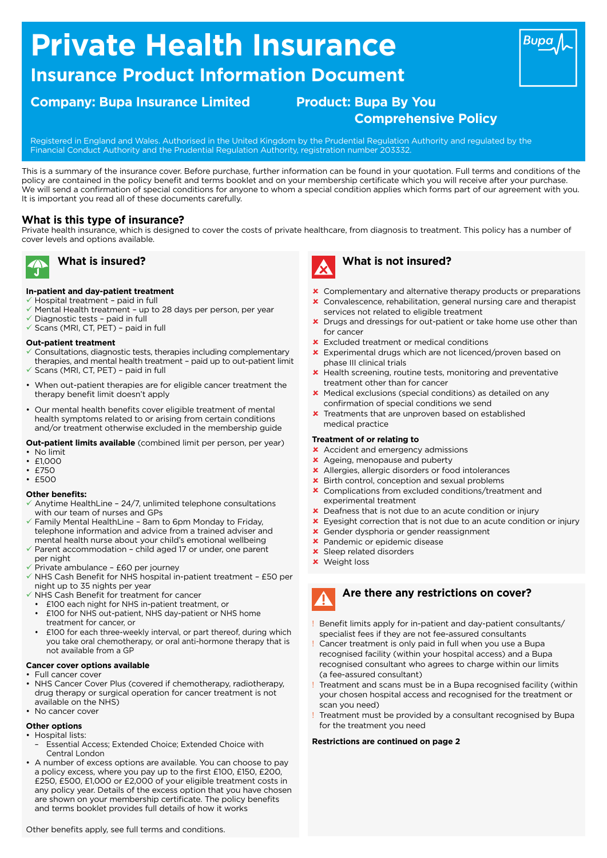# **Private Health Insurance**

### **Insurance Product Information Document**

### **Company: Bupa Insurance Limited Product: Bupa By You**

## **Comprehensive Policy**

Registered in England and Wales. Authorised in the United Kingdom by the Prudential Regulation Authority and regulated by the Financial Conduct Authority and the Prudential Regulation Authority, registration number 203332.

This is a summary of the insurance cover. Before purchase, further information can be found in your quotation. Full terms and conditions of the policy are contained in the policy beneft and terms booklet and on your membership certifcate which you will receive after your purchase. We will send a confrmation of special conditions for anyone to whom a special condition applies which forms part of our agreement with you. It is important you read all of these documents carefully.

### **What is this type of insurance?**

Private health insurance, which is designed to cover the costs of private healthcare, from diagnosis to treatment. This policy has a number of cover levels and options available.



### **What is insured?**

### **In-patient and day-patient treatment**

- $\checkmark$  Hospital treatment paid in full
- $\checkmark$  Mental Health treatment up to 28 days per person, per year
- $\checkmark$  Diagnostic tests paid in full
- $\checkmark$  Scans (MRI, CT, PET) paid in full

### **Out-patient treatment**

- Consultations, diagnostic tests, therapies including complementary therapies, and mental health treatment – paid up to out-patient limit
- Scans (MRI, CT, PET) paid in full
- When out-patient therapies are for eligible cancer treatment the therapy benefit limit doesn't apply
- Our mental health benefits cover eligible treatment of mental health symptoms related to or arising from certain conditions and/or treatment otherwise excluded in the membership guide

#### **Out-patient limits available** (combined limit per person, per year)

- No limit
- £1,000  $F750$
- $. F500$

### **Other benefits:**

- Anytime HealthLine 24/7, unlimited telephone consultations with our team of nurses and GPs
- $\checkmark$  Family Mental HealthLine 8am to 6pm Monday to Friday, telephone information and advice from a trained adviser and mental health nurse about your child's emotional wellbeing
- Parent accommodation child aged 17 or under, one parent per night
- Private ambulance £60 per journey
- $\checkmark$  NHS Cash Benefit for NHS hospital in-patient treatment £50 per night up to 35 nights per year
- $\checkmark$  NHS Cash Benefit for treatment for cancer
- £100 each night for NHS in-patient treatment, or
- £100 for NHS out-patient, NHS day-patient or NHS home treatment for cancer, or
- £100 for each three-weekly interval, or part thereof, during which you take oral chemotherapy, or oral anti-hormone therapy that is not available from a GP

### **Cancer cover options available**

- Full cancer cover
- NHS Cancer Cover Plus (covered if chemotherapy, radiotherapy, drug therapy or surgical operation for cancer treatment is not available on the NHS)
- No cancer cover

### **Other options**

- Hospital lists:
- Essential Access; Extended Choice; Extended Choice with Central London
- A number of excess options are available. You can choose to pay a policy excess, where you pay up to the first £100, £150, £200, £250, £500, £1,000 or £2,000 of your eligible treatment costs in any policy year. Details of the excess option that you have chosen are shown on your membership certificate. The policy benefits and terms booklet provides full details of how it works



### **What is not insured?**

- **x** Complementary and alternative therapy products or preparations
- û Convalescence, rehabilitation, general nursing care and therapist services not related to eligible treatment
- **x** Drugs and dressings for out-patient or take home use other than for cancer
- **x** Excluded treatment or medical conditions
- **x** Experimental drugs which are not licenced/proven based on phase III clinical trials
- û Health screening, routine tests, monitoring and preventative treatment other than for cancer
- **x** Medical exclusions (special conditions) as detailed on any confrmation of special conditions we send
- **x** Treatments that are unproven based on established medical practice

### **Treatment of or relating to**

- **x** Accident and emergency admissions
- **x** Ageing, menopause and puberty
- **x** Allergies, allergic disorders or food intolerances
- Birth control, conception and sexual problems
- **x** Complications from excluded conditions/treatment and experimental treatment
- û Deafness that is not due to an acute condition or injury
- $\star$  Eyesight correction that is not due to an acute condition or injury
- Gender dysphoria or gender reassignment
- **\*** Pandemic or epidemic disease
- **x** Sleep related disorders
- **x** Weight loss

## **March Are there any restrictions on cover?**

- Benefit limits apply for in-patient and day-patient consultants/ specialist fees if they are not fee-assured consultants
- ! Cancer treatment is only paid in full when you use a Bupa recognised facility (within your hospital access) and a Bupa recognised consultant who agrees to charge within our limits (a fee-assured consultant)
- Treatment and scans must be in a Bupa recognised facility (within your chosen hospital access and recognised for the treatment or scan you need)
- Treatment must be provided by a consultant recognised by Bupa for the treatment you need

### **Restrictions are continued on page 2**

**Bupa**